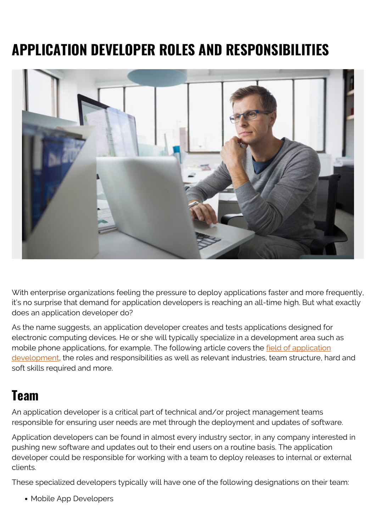# **APPLICATION DEVELOPER ROLES AND RESPONSIBILITIES**



With enterprise organizations feeling the pressure to deploy applications faster and more frequently, it's no surprise that demand for application developers is reaching an all-time high. But what exactly does an application developer do?

As the name suggests, an application developer creates and tests applications designed for electronic computing devices. He or she will typically specialize in a development area such as mobile phone applications, for example. The following article covers the <u>[field of application](https://www.gartner.com/it-glossary/application-development-ad)</u> [development,](https://www.gartner.com/it-glossary/application-development-ad) the roles and responsibilities as well as relevant industries, team structure, hard and soft skills required and more.

#### **Team**

An application developer is a critical part of technical and/or project management teams responsible for ensuring user needs are met through the deployment and updates of software.

Application developers can be found in almost every industry sector, in any company interested in pushing new software and updates out to their end users on a routine basis. The application developer could be responsible for working with a team to deploy releases to internal or external clients.

These specialized developers typically will have one of the following designations on their team:

Mobile App Developers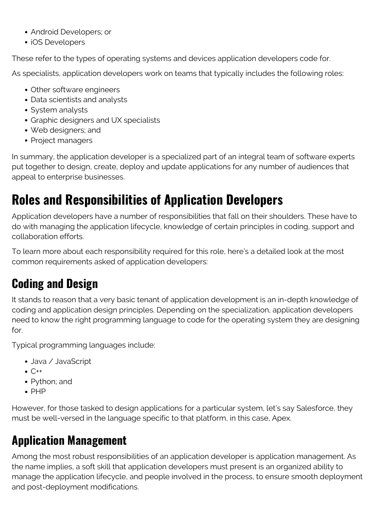- Android Developers; or
- iOS Developers

These refer to the types of operating systems and devices application developers code for.

As specialists, application developers work on teams that typically includes the following roles:

- Other software engineers
- Data scientists and analysts
- System analysts
- Graphic designers and UX specialists
- Web designers; and
- Project managers

In summary, the application developer is a specialized part of an integral team of software experts put together to design, create, deploy and update applications for any number of audiences that appeal to enterprise businesses.

# **Roles and Responsibilities of Application Developers**

Application developers have a number of responsibilities that fall on their shoulders. These have to do with managing the application lifecycle, knowledge of certain principles in coding, support and collaboration efforts.

To learn more about each responsibility required for this role, here's a detailed look at the most common requirements asked of application developers:

### **Coding and Design**

It stands to reason that a very basic tenant of application development is an in-depth knowledge of coding and application design principles. Depending on the specialization, application developers need to know the right programming language to code for the operating system they are designing for.

Typical programming languages include:

- Java / JavaScript
- $\bullet$  C++
- Python; and
- $\bullet$  PHP

However, for those tasked to design applications for a particular system, let's say Salesforce, they must be well-versed in the language specific to that platform, in this case, Apex.

#### **Application Management**

Among the most robust responsibilities of an application developer is application management. As the name implies, a soft skill that application developers must present is an organized ability to manage the application lifecycle, and people involved in the process, to ensure smooth deployment and post-deployment modifications.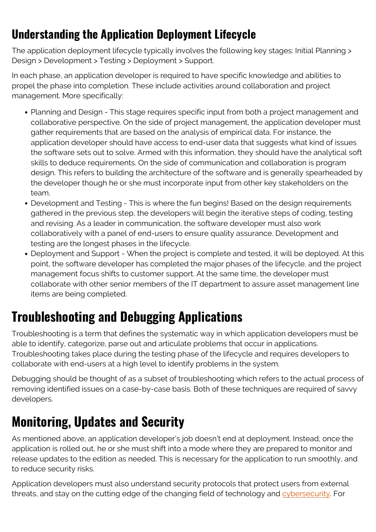#### **Understanding the Application Deployment Lifecycle**

The application deployment lifecycle typically involves the following key stages: Initial Planning > Design > Development > Testing > Deployment > Support.

In each phase, an application developer is required to have specific knowledge and abilities to propel the phase into completion. These include activities around collaboration and project management. More specifically:

- Planning and Design This stage requires specific input from both a project management and collaborative perspective. On the side of project management, the application developer must gather requirements that are based on the analysis of empirical data. For instance, the application developer should have access to end-user data that suggests what kind of issues the software sets out to solve. Armed with this information, they should have the analytical soft skills to deduce requirements. On the side of communication and collaboration is program design. This refers to building the architecture of the software and is generally spearheaded by the developer though he or she must incorporate input from other key stakeholders on the team.
- Development and Testing This is where the fun begins! Based on the design requirements gathered in the previous step, the developers will begin the iterative steps of coding, testing and revising. As a leader in communication, the software developer must also work collaboratively with a panel of end-users to ensure quality assurance. Development and testing are the longest phases in the lifecycle.
- Deployment and Support When the project is complete and tested, it will be deployed. At this point, the software developer has completed the major phases of the lifecycle, and the project management focus shifts to customer support. At the same time, the developer must collaborate with other senior members of the IT department to assure asset management line items are being completed.

# **Troubleshooting and Debugging Applications**

Troubleshooting is a term that defines the systematic way in which application developers must be able to identify, categorize, parse out and articulate problems that occur in applications. Troubleshooting takes place during the testing phase of the lifecycle and requires developers to collaborate with end-users at a high level to identify problems in the system.

Debugging should be thought of as a subset of troubleshooting which refers to the actual process of removing identified issues on a case-by-case basis. Both of these techniques are required of savvy developers.

### **Monitoring, Updates and Security**

As mentioned above, an application developer's job doesn't end at deployment. Instead, once the application is rolled out, he or she must shift into a mode where they are prepared to monitor and release updates to the edition as needed. This is necessary for the application to run smoothly, and to reduce security risks.

Application developers must also understand security protocols that protect users from external threats, and stay on the cutting edge of the changing field of technology and [cybersecurity.](https://blogs.bmc.com/blogs/cybersecurity/) For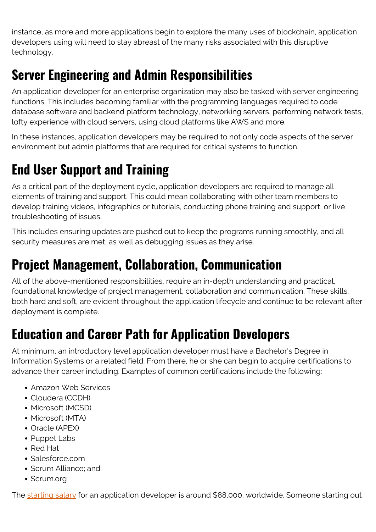instance, as more and more applications begin to explore the many uses of blockchain, application developers using will need to stay abreast of the many risks associated with this disruptive technology.

# **Server Engineering and Admin Responsibilities**

An application developer for an enterprise organization may also be tasked with server engineering functions. This includes becoming familiar with the programming languages required to code database software and backend platform technology, networking servers, performing network tests, lofty experience with cloud servers, using cloud platforms like AWS and more.

In these instances, application developers may be required to not only code aspects of the server environment but admin platforms that are required for critical systems to function.

# **End User Support and Training**

As a critical part of the deployment cycle, application developers are required to manage all elements of training and support. This could mean collaborating with other team members to develop training videos, infographics or tutorials, conducting phone training and support, or live troubleshooting of issues.

This includes ensuring updates are pushed out to keep the programs running smoothly, and all security measures are met, as well as debugging issues as they arise.

### **Project Management, Collaboration, Communication**

All of the above-mentioned responsibilities, require an in-depth understanding and practical, foundational knowledge of project management, collaboration and communication. These skills, both hard and soft, are evident throughout the application lifecycle and continue to be relevant after deployment is complete.

# **Education and Career Path for Application Developers**

At minimum, an introductory level application developer must have a Bachelor's Degree in Information Systems or a related field. From there, he or she can begin to acquire certifications to advance their career including. Examples of common certifications include the following:

- Amazon Web Services
- Cloudera (CCDH)
- Microsoft (MCSD)
- Microsoft (MTA)
- Oracle (APEX)
- Puppet Labs
- Red Hat
- Salesforce.com
- Scrum Alliance; and
- Scrum.org

The [starting salary](https://swz.salary.com/SalaryWizard/Mobile-Applications-Developer-II-Salary-Details.aspx?hdcbxbonuse=off&isshowpiechart=false&isshowjobchart=true&isshowsalarydetailcharts=false&isshownextsteps=false&isshowcompanyfct=false&isshowaboutyou=false) for an application developer is around \$88,000, worldwide. Someone starting out